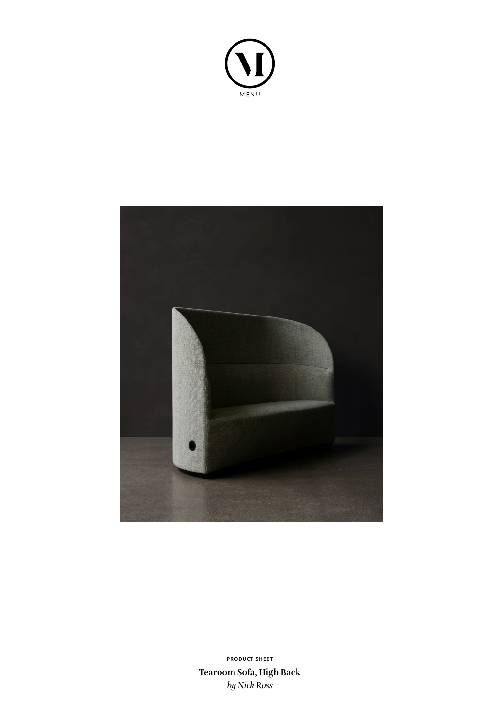



**Tearoom Sofa, High Back** *by Nick Ross* **PRODUCT SHEET**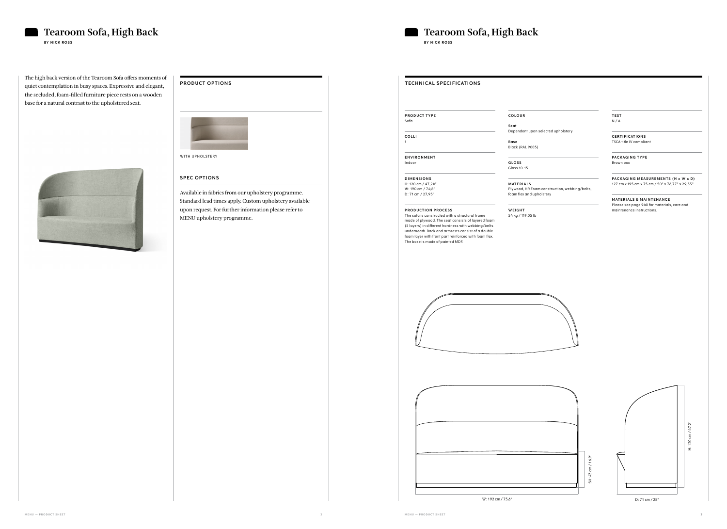The high back version of the Tearoom Sofa offers moments of quiet contemplation in busy spaces. Expressive and elegant, the secluded, foam-filled furniture piece rests on a wooden base for a natural contrast to the upholstered seat.



## **PRODUCT OPTIONS**



### **SPEC OPTIONS**

Available in fabrics from our upholstery programme. Standard lead times apply. Custom upholstery available upon request. For further information please refer to MENU upholstery programme.



# **TECHNICAL SPECIFICATIONS**

**PRODUCT TYPE** Sofa

**COLLI**

1

**ENVIRONMENT** Indoor

**D I M E N S I O N S**  H: 120 cm / 47,24"

W: 190 cm / 74,8" D: 71 cm / 27,95"

### **PRODUCTION PROCESS**

**MATERIALS & MAINTENANCE** Please see page 940 for materials, care and maintenance instructions.



## **Tearoom Sofa, High Back Tearoom Sofa, High Back Tearoom Sofa, High Back BY NICK ROSS BY NICK ROSS**

The sofa is constructed with a structural frame made of plywood. The seat consists of layered foam (5 layers) in different hardness with webbing/belts underneath. Back and armrests consist of a double foam layer with front part reinforced with foam flex. The base is made of painted MDF.



**COLOUR**

**Seat Base**

Dependent upon selected upholstery

Black (RAL 9005)

**G LO S S** 

Gloss 10-15

**M AT E R I A LS**

Plywood, HR Foam construction, webbing/belts, foam flex and upholstery

**W E I G H T** 

54 kg / 119,05 lb

**TEST** N / A

**C E RT I F I CAT I O N S** TSCA title IV compliant

**PACKAGING TYPE** Brown box

**PACKAGING MEASUREMENTS (H x W x D)** 127 cm x 195 cm x 75 cm / 50" x 76,77" x 29,53"



W: 192 cm / 75,6"



D: 71 cm / 28"